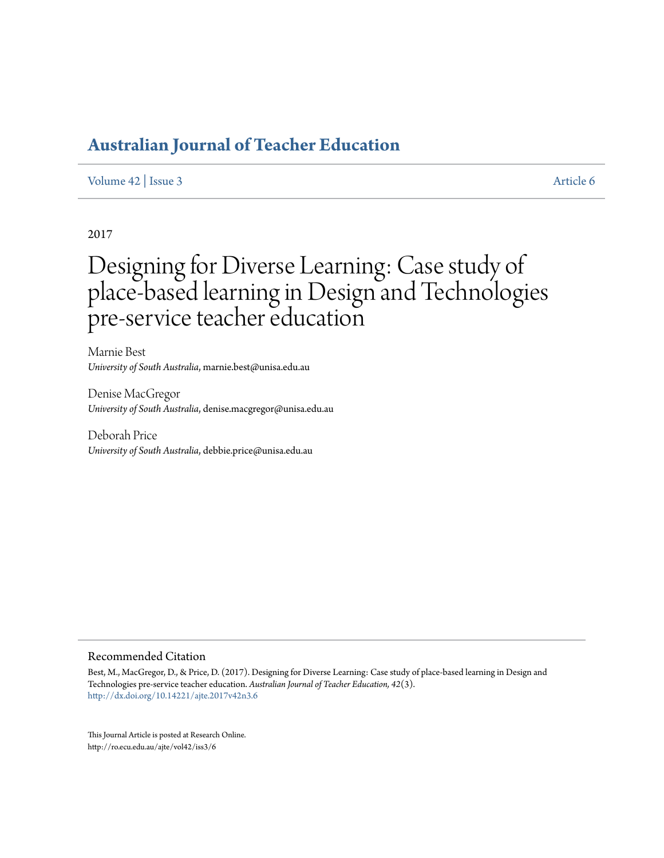# **[Australian Journal of Teacher Education](http://ro.ecu.edu.au/ajte)**

#### [Volume 42](http://ro.ecu.edu.au/ajte/vol42) | [Issue 3](http://ro.ecu.edu.au/ajte/vol42/iss3) [Article 6](http://ro.ecu.edu.au/ajte/vol42/iss3/6)

2017

# Designing for Diverse Learning: Case study of place-based learning in Design and Technologies pre-service teacher education

Marnie Best *University of South Australia*, marnie.best@unisa.edu.au

Denise MacGregor *University of South Australia*, denise.macgregor@unisa.edu.au

Deborah Price *University of South Australia*, debbie.price@unisa.edu.au

#### Recommended Citation

Best, M., MacGregor, D., & Price, D. (2017). Designing for Diverse Learning: Case study of place-based learning in Design and Technologies pre-service teacher education. *Australian Journal of Teacher Education, 42*(3). <http://dx.doi.org/10.14221/ajte.2017v42n3.6>

This Journal Article is posted at Research Online. http://ro.ecu.edu.au/ajte/vol42/iss3/6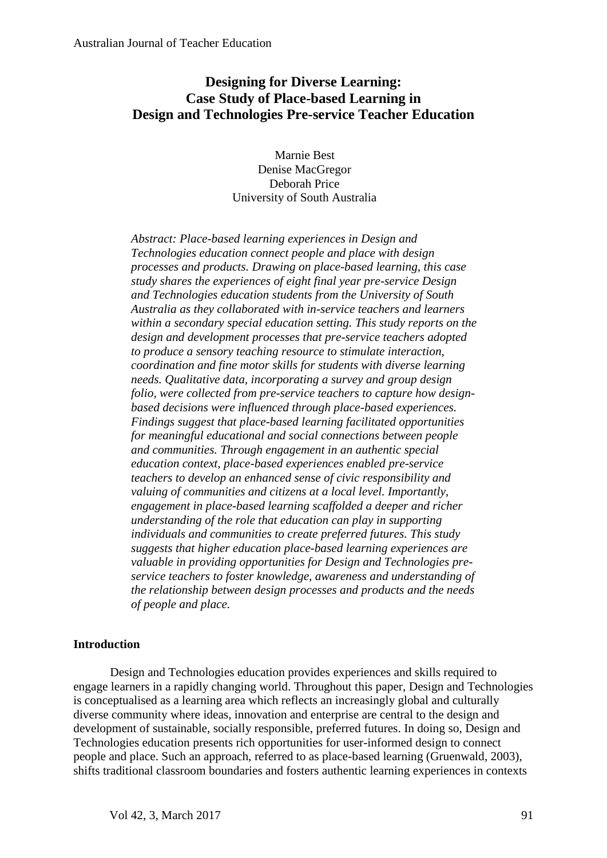# **Designing for Diverse Learning: Case Study of Place-based Learning in Design and Technologies Pre-service Teacher Education**

Marnie Best Denise MacGregor Deborah Price University of South Australia

*Abstract: Place-based learning experiences in Design and Technologies education connect people and place with design processes and products. Drawing on place-based learning, this case study shares the experiences of eight final year pre-service Design and Technologies education students from the University of South Australia as they collaborated with in-service teachers and learners within a secondary special education setting. This study reports on the design and development processes that pre-service teachers adopted to produce a sensory teaching resource to stimulate interaction, coordination and fine motor skills for students with diverse learning needs. Qualitative data, incorporating a survey and group design folio, were collected from pre-service teachers to capture how designbased decisions were influenced through place-based experiences. Findings suggest that place-based learning facilitated opportunities for meaningful educational and social connections between people and communities. Through engagement in an authentic special education context, place-based experiences enabled pre-service teachers to develop an enhanced sense of civic responsibility and valuing of communities and citizens at a local level. Importantly, engagement in place-based learning scaffolded a deeper and richer understanding of the role that education can play in supporting individuals and communities to create preferred futures. This study suggests that higher education place-based learning experiences are valuable in providing opportunities for Design and Technologies preservice teachers to foster knowledge, awareness and understanding of the relationship between design processes and products and the needs of people and place.*

# **Introduction**

Design and Technologies education provides experiences and skills required to engage learners in a rapidly changing world. Throughout this paper, Design and Technologies is conceptualised as a learning area which reflects an increasingly global and culturally diverse community where ideas, innovation and enterprise are central to the design and development of sustainable, socially responsible, preferred futures. In doing so, Design and Technologies education presents rich opportunities for user-informed design to connect people and place. Such an approach, referred to as place-based learning (Gruenwald, 2003), shifts traditional classroom boundaries and fosters authentic learning experiences in contexts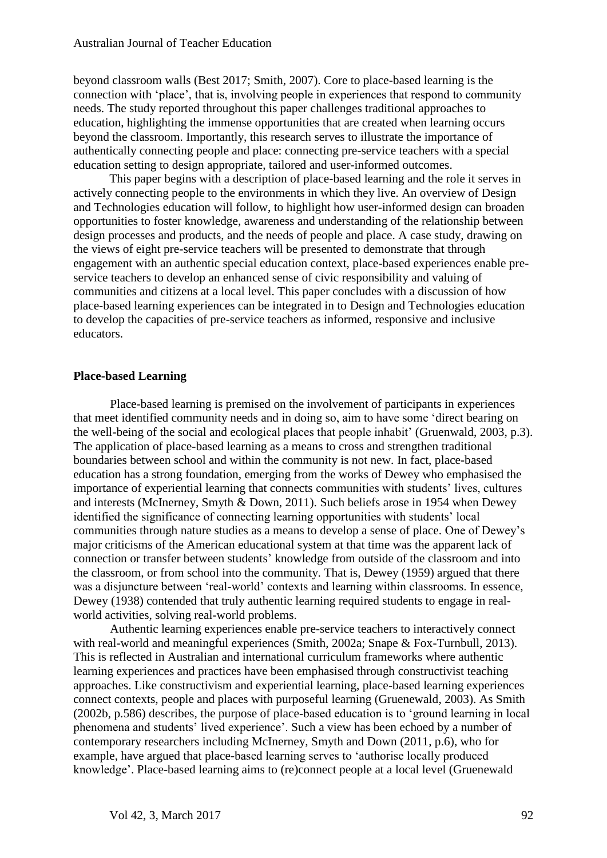beyond classroom walls (Best 2017; Smith, 2007). Core to place-based learning is the connection with 'place', that is, involving people in experiences that respond to community needs. The study reported throughout this paper challenges traditional approaches to education, highlighting the immense opportunities that are created when learning occurs beyond the classroom. Importantly, this research serves to illustrate the importance of authentically connecting people and place: connecting pre-service teachers with a special education setting to design appropriate, tailored and user-informed outcomes.

This paper begins with a description of place-based learning and the role it serves in actively connecting people to the environments in which they live. An overview of Design and Technologies education will follow, to highlight how user-informed design can broaden opportunities to foster knowledge, awareness and understanding of the relationship between design processes and products, and the needs of people and place. A case study, drawing on the views of eight pre-service teachers will be presented to demonstrate that through engagement with an authentic special education context, place-based experiences enable preservice teachers to develop an enhanced sense of civic responsibility and valuing of communities and citizens at a local level. This paper concludes with a discussion of how place-based learning experiences can be integrated in to Design and Technologies education to develop the capacities of pre-service teachers as informed, responsive and inclusive educators.

## **Place-based Learning**

Place-based learning is premised on the involvement of participants in experiences that meet identified community needs and in doing so, aim to have some 'direct bearing on the well-being of the social and ecological places that people inhabit' (Gruenwald, 2003, p.3). The application of place-based learning as a means to cross and strengthen traditional boundaries between school and within the community is not new. In fact, place-based education has a strong foundation, emerging from the works of Dewey who emphasised the importance of experiential learning that connects communities with students' lives, cultures and interests (McInerney, Smyth & Down, 2011). Such beliefs arose in 1954 when Dewey identified the significance of connecting learning opportunities with students' local communities through nature studies as a means to develop a sense of place. One of Dewey's major criticisms of the American educational system at that time was the apparent lack of connection or transfer between students' knowledge from outside of the classroom and into the classroom, or from school into the community. That is, Dewey (1959) argued that there was a disjuncture between 'real-world' contexts and learning within classrooms. In essence, Dewey (1938) contended that truly authentic learning required students to engage in realworld activities, solving real-world problems.

Authentic learning experiences enable pre-service teachers to interactively connect with real-world and meaningful experiences (Smith, 2002a; Snape & Fox-Turnbull, 2013). This is reflected in Australian and international curriculum frameworks where authentic learning experiences and practices have been emphasised through constructivist teaching approaches. Like constructivism and experiential learning, place-based learning experiences connect contexts, people and places with purposeful learning (Gruenewald, 2003). As Smith (2002b, p.586) describes, the purpose of place-based education is to 'ground learning in local phenomena and students' lived experience'. Such a view has been echoed by a number of contemporary researchers including McInerney, Smyth and Down (2011, p.6), who for example, have argued that place-based learning serves to 'authorise locally produced knowledge'. Place-based learning aims to (re)connect people at a local level (Gruenewald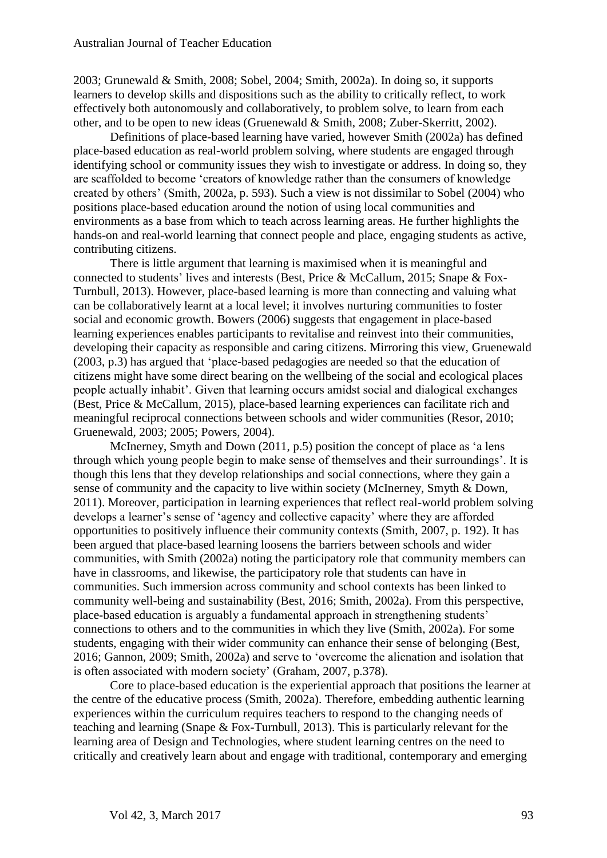2003; Grunewald & Smith, 2008; Sobel, 2004; Smith, 2002a). In doing so, it supports learners to develop skills and dispositions such as the ability to critically reflect, to work effectively both autonomously and collaboratively, to problem solve, to learn from each other, and to be open to new ideas (Gruenewald & Smith, 2008; Zuber-Skerritt, 2002).

Definitions of place-based learning have varied, however Smith (2002a) has defined place-based education as real-world problem solving, where students are engaged through identifying school or community issues they wish to investigate or address. In doing so, they are scaffolded to become 'creators of knowledge rather than the consumers of knowledge created by others' (Smith, 2002a, p. 593). Such a view is not dissimilar to Sobel (2004) who positions place-based education around the notion of using local communities and environments as a base from which to teach across learning areas. He further highlights the hands-on and real-world learning that connect people and place, engaging students as active, contributing citizens.

There is little argument that learning is maximised when it is meaningful and connected to students' lives and interests (Best, Price & McCallum, 2015; Snape & Fox-Turnbull, 2013). However, place-based learning is more than connecting and valuing what can be collaboratively learnt at a local level; it involves nurturing communities to foster social and economic growth. Bowers (2006) suggests that engagement in place-based learning experiences enables participants to revitalise and reinvest into their communities, developing their capacity as responsible and caring citizens. Mirroring this view, Gruenewald (2003, p.3) has argued that 'place-based pedagogies are needed so that the education of citizens might have some direct bearing on the wellbeing of the social and ecological places people actually inhabit'. Given that learning occurs amidst social and dialogical exchanges (Best, Price & McCallum, 2015), place-based learning experiences can facilitate rich and meaningful reciprocal connections between schools and wider communities (Resor, 2010; Gruenewald, 2003; 2005; Powers, 2004).

McInerney, Smyth and Down (2011, p.5) position the concept of place as 'a lens through which young people begin to make sense of themselves and their surroundings'. It is though this lens that they develop relationships and social connections, where they gain a sense of community and the capacity to live within society (McInerney, Smyth & Down, 2011). Moreover, participation in learning experiences that reflect real-world problem solving develops a learner's sense of 'agency and collective capacity' where they are afforded opportunities to positively influence their community contexts (Smith, 2007, p. 192). It has been argued that place-based learning loosens the barriers between schools and wider communities, with Smith (2002a) noting the participatory role that community members can have in classrooms, and likewise, the participatory role that students can have in communities. Such immersion across community and school contexts has been linked to community well-being and sustainability (Best, 2016; Smith, 2002a). From this perspective, place-based education is arguably a fundamental approach in strengthening students' connections to others and to the communities in which they live (Smith, 2002a). For some students, engaging with their wider community can enhance their sense of belonging (Best, 2016; Gannon, 2009; Smith, 2002a) and serve to 'overcome the alienation and isolation that is often associated with modern society' (Graham, 2007, p.378).

Core to place-based education is the experiential approach that positions the learner at the centre of the educative process (Smith, 2002a). Therefore, embedding authentic learning experiences within the curriculum requires teachers to respond to the changing needs of teaching and learning (Snape & Fox-Turnbull, 2013). This is particularly relevant for the learning area of Design and Technologies, where student learning centres on the need to critically and creatively learn about and engage with traditional, contemporary and emerging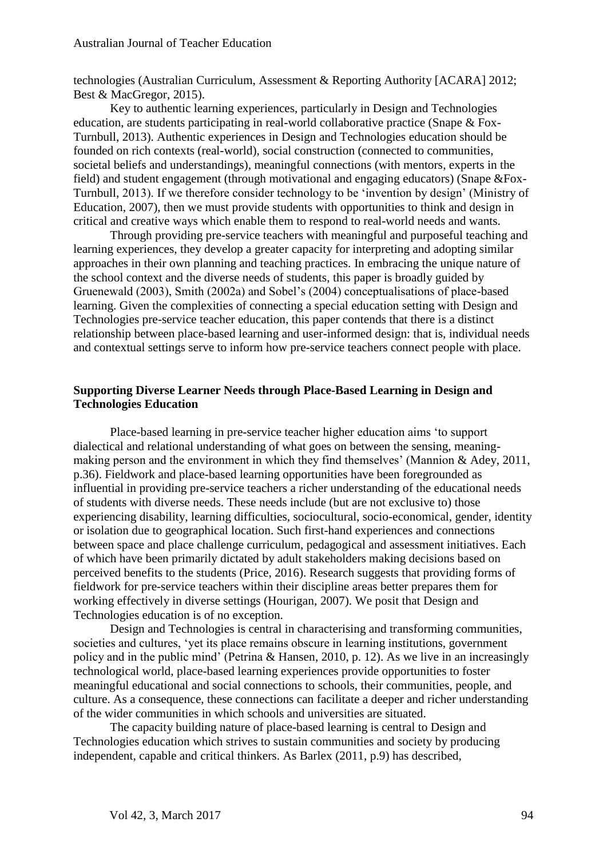technologies (Australian Curriculum, Assessment & Reporting Authority [ACARA] 2012; Best & MacGregor, 2015).

Key to authentic learning experiences, particularly in Design and Technologies education, are students participating in real-world collaborative practice (Snape & Fox-Turnbull, 2013). Authentic experiences in Design and Technologies education should be founded on rich contexts (real-world), social construction (connected to communities, societal beliefs and understandings), meaningful connections (with mentors, experts in the field) and student engagement (through motivational and engaging educators) (Snape &Fox-Turnbull, 2013). If we therefore consider technology to be 'invention by design' (Ministry of Education, 2007), then we must provide students with opportunities to think and design in critical and creative ways which enable them to respond to real-world needs and wants.

Through providing pre-service teachers with meaningful and purposeful teaching and learning experiences, they develop a greater capacity for interpreting and adopting similar approaches in their own planning and teaching practices. In embracing the unique nature of the school context and the diverse needs of students, this paper is broadly guided by Gruenewald (2003), Smith (2002a) and Sobel's (2004) conceptualisations of place-based learning. Given the complexities of connecting a special education setting with Design and Technologies pre-service teacher education, this paper contends that there is a distinct relationship between place-based learning and user-informed design: that is, individual needs and contextual settings serve to inform how pre-service teachers connect people with place.

### **Supporting Diverse Learner Needs through Place-Based Learning in Design and Technologies Education**

Place-based learning in pre-service teacher higher education aims 'to support dialectical and relational understanding of what goes on between the sensing, meaningmaking person and the environment in which they find themselves' (Mannion & Adey, 2011, p.36). Fieldwork and place-based learning opportunities have been foregrounded as influential in providing pre-service teachers a richer understanding of the educational needs of students with diverse needs. These needs include (but are not exclusive to) those experiencing disability, learning difficulties, sociocultural, socio-economical, gender, identity or isolation due to geographical location. Such first-hand experiences and connections between space and place challenge curriculum, pedagogical and assessment initiatives. Each of which have been primarily dictated by adult stakeholders making decisions based on perceived benefits to the students (Price, 2016). Research suggests that providing forms of fieldwork for pre-service teachers within their discipline areas better prepares them for working effectively in diverse settings (Hourigan, 2007). We posit that Design and Technologies education is of no exception.

Design and Technologies is central in characterising and transforming communities, societies and cultures, 'yet its place remains obscure in learning institutions, government policy and in the public mind' (Petrina & Hansen, 2010, p. 12). As we live in an increasingly technological world, place-based learning experiences provide opportunities to foster meaningful educational and social connections to schools, their communities, people, and culture. As a consequence, these connections can facilitate a deeper and richer understanding of the wider communities in which schools and universities are situated.

The capacity building nature of place-based learning is central to Design and Technologies education which strives to sustain communities and society by producing independent, capable and critical thinkers. As Barlex (2011, p.9) has described,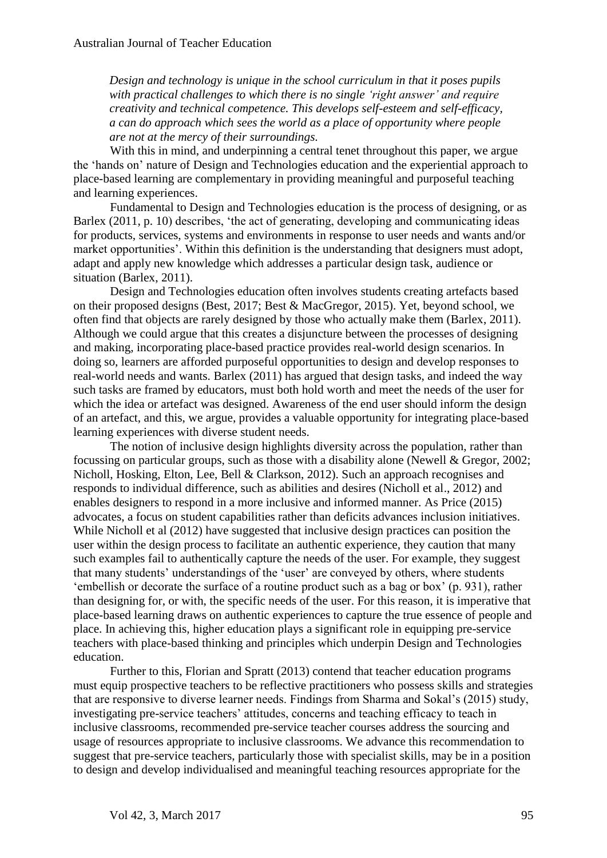*Design and technology is unique in the school curriculum in that it poses pupils with practical challenges to which there is no single 'right answer' and require creativity and technical competence. This develops self-esteem and self-efficacy, a can do approach which sees the world as a place of opportunity where people are not at the mercy of their surroundings.*

With this in mind, and underpinning a central tenet throughout this paper, we argue the 'hands on' nature of Design and Technologies education and the experiential approach to place-based learning are complementary in providing meaningful and purposeful teaching and learning experiences.

Fundamental to Design and Technologies education is the process of designing, or as Barlex (2011, p. 10) describes, 'the act of generating, developing and communicating ideas for products, services, systems and environments in response to user needs and wants and/or market opportunities'. Within this definition is the understanding that designers must adopt, adapt and apply new knowledge which addresses a particular design task, audience or situation (Barlex, 2011).

Design and Technologies education often involves students creating artefacts based on their proposed designs (Best, 2017; Best & MacGregor, 2015). Yet, beyond school, we often find that objects are rarely designed by those who actually make them (Barlex, 2011). Although we could argue that this creates a disjuncture between the processes of designing and making, incorporating place-based practice provides real-world design scenarios. In doing so, learners are afforded purposeful opportunities to design and develop responses to real-world needs and wants. Barlex (2011) has argued that design tasks, and indeed the way such tasks are framed by educators, must both hold worth and meet the needs of the user for which the idea or artefact was designed. Awareness of the end user should inform the design of an artefact, and this, we argue, provides a valuable opportunity for integrating place-based learning experiences with diverse student needs.

The notion of inclusive design highlights diversity across the population, rather than focussing on particular groups, such as those with a disability alone (Newell & Gregor, 2002; Nicholl, Hosking, Elton, Lee, Bell & Clarkson, 2012). Such an approach recognises and responds to individual difference, such as abilities and desires (Nicholl et al., 2012) and enables designers to respond in a more inclusive and informed manner. As Price (2015) advocates, a focus on student capabilities rather than deficits advances inclusion initiatives. While Nicholl et al (2012) have suggested that inclusive design practices can position the user within the design process to facilitate an authentic experience, they caution that many such examples fail to authentically capture the needs of the user. For example, they suggest that many students' understandings of the 'user' are conveyed by others, where students 'embellish or decorate the surface of a routine product such as a bag or box' (p. 931), rather than designing for, or with, the specific needs of the user. For this reason, it is imperative that place-based learning draws on authentic experiences to capture the true essence of people and place. In achieving this, higher education plays a significant role in equipping pre-service teachers with place-based thinking and principles which underpin Design and Technologies education.

Further to this, Florian and Spratt (2013) contend that teacher education programs must equip prospective teachers to be reflective practitioners who possess skills and strategies that are responsive to diverse learner needs. Findings from Sharma and Sokal's (2015) study, investigating pre-service teachers' attitudes, concerns and teaching efficacy to teach in inclusive classrooms, recommended pre-service teacher courses address the sourcing and usage of resources appropriate to inclusive classrooms. We advance this recommendation to suggest that pre-service teachers, particularly those with specialist skills, may be in a position to design and develop individualised and meaningful teaching resources appropriate for the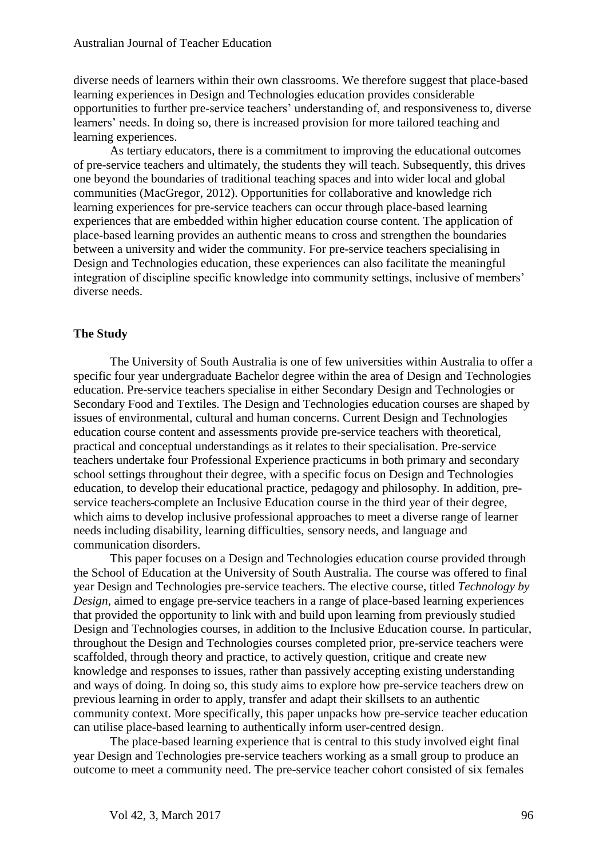diverse needs of learners within their own classrooms. We therefore suggest that place-based learning experiences in Design and Technologies education provides considerable opportunities to further pre-service teachers' understanding of, and responsiveness to, diverse learners' needs. In doing so, there is increased provision for more tailored teaching and learning experiences.

As tertiary educators, there is a commitment to improving the educational outcomes of pre-service teachers and ultimately, the students they will teach. Subsequently, this drives one beyond the boundaries of traditional teaching spaces and into wider local and global communities (MacGregor, 2012). Opportunities for collaborative and knowledge rich learning experiences for pre-service teachers can occur through place-based learning experiences that are embedded within higher education course content. The application of place-based learning provides an authentic means to cross and strengthen the boundaries between a university and wider the community. For pre-service teachers specialising in Design and Technologies education, these experiences can also facilitate the meaningful integration of discipline specific knowledge into community settings, inclusive of members' diverse needs.

# **The Study**

The University of South Australia is one of few universities within Australia to offer a specific four year undergraduate Bachelor degree within the area of Design and Technologies education. Pre-service teachers specialise in either Secondary Design and Technologies or Secondary Food and Textiles. The Design and Technologies education courses are shaped by issues of environmental, cultural and human concerns. Current Design and Technologies education course content and assessments provide pre-service teachers with theoretical, practical and conceptual understandings as it relates to their specialisation. Pre-service teachers undertake four Professional Experience practicums in both primary and secondary school settings throughout their degree, with a specific focus on Design and Technologies education, to develop their educational practice, pedagogy and philosophy. In addition, preservice teachers complete an Inclusive Education course in the third year of their degree, which aims to develop inclusive professional approaches to meet a diverse range of learner needs including disability, learning difficulties, sensory needs, and language and communication disorders.

This paper focuses on a Design and Technologies education course provided through the School of Education at the University of South Australia. The course was offered to final year Design and Technologies pre-service teachers. The elective course, titled *Technology by Design*, aimed to engage pre-service teachers in a range of place-based learning experiences that provided the opportunity to link with and build upon learning from previously studied Design and Technologies courses, in addition to the Inclusive Education course. In particular, throughout the Design and Technologies courses completed prior, pre-service teachers were scaffolded, through theory and practice, to actively question, critique and create new knowledge and responses to issues, rather than passively accepting existing understanding and ways of doing. In doing so, this study aims to explore how pre-service teachers drew on previous learning in order to apply, transfer and adapt their skillsets to an authentic community context. More specifically, this paper unpacks how pre-service teacher education can utilise place-based learning to authentically inform user-centred design.

The place-based learning experience that is central to this study involved eight final year Design and Technologies pre-service teachers working as a small group to produce an outcome to meet a community need. The pre-service teacher cohort consisted of six females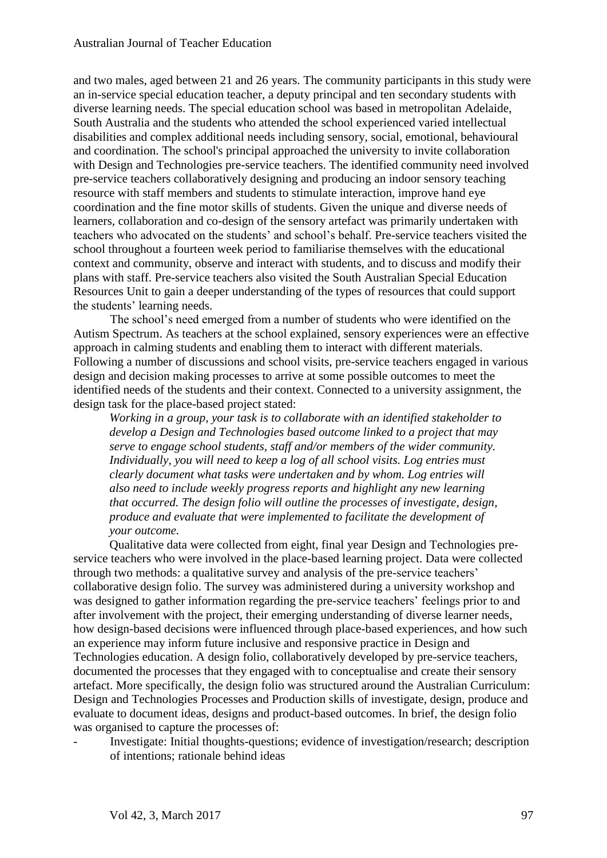and two males, aged between 21 and 26 years. The community participants in this study were an in-service special education teacher, a deputy principal and ten secondary students with diverse learning needs. The special education school was based in metropolitan Adelaide, South Australia and the students who attended the school experienced varied intellectual disabilities and complex additional needs including sensory, social, emotional, behavioural and coordination. The school's principal approached the university to invite collaboration with Design and Technologies pre-service teachers. The identified community need involved pre-service teachers collaboratively designing and producing an indoor sensory teaching resource with staff members and students to stimulate interaction, improve hand eye coordination and the fine motor skills of students. Given the unique and diverse needs of learners, collaboration and co-design of the sensory artefact was primarily undertaken with teachers who advocated on the students' and school's behalf. Pre-service teachers visited the school throughout a fourteen week period to familiarise themselves with the educational context and community, observe and interact with students, and to discuss and modify their plans with staff. Pre-service teachers also visited the South Australian Special Education Resources Unit to gain a deeper understanding of the types of resources that could support the students' learning needs.

The school's need emerged from a number of students who were identified on the Autism Spectrum. As teachers at the school explained, sensory experiences were an effective approach in calming students and enabling them to interact with different materials. Following a number of discussions and school visits, pre-service teachers engaged in various design and decision making processes to arrive at some possible outcomes to meet the identified needs of the students and their context. Connected to a university assignment, the design task for the place-based project stated:

*Working in a group, your task is to collaborate with an identified stakeholder to develop a Design and Technologies based outcome linked to a project that may serve to engage school students, staff and/or members of the wider community. Individually, you will need to keep a log of all school visits. Log entries must clearly document what tasks were undertaken and by whom. Log entries will also need to include weekly progress reports and highlight any new learning that occurred. The design folio will outline the processes of investigate, design, produce and evaluate that were implemented to facilitate the development of your outcome.*

Qualitative data were collected from eight, final year Design and Technologies preservice teachers who were involved in the place-based learning project. Data were collected through two methods: a qualitative survey and analysis of the pre-service teachers' collaborative design folio. The survey was administered during a university workshop and was designed to gather information regarding the pre-service teachers' feelings prior to and after involvement with the project, their emerging understanding of diverse learner needs, how design-based decisions were influenced through place-based experiences, and how such an experience may inform future inclusive and responsive practice in Design and Technologies education. A design folio, collaboratively developed by pre-service teachers, documented the processes that they engaged with to conceptualise and create their sensory artefact. More specifically, the design folio was structured around the Australian Curriculum: Design and Technologies Processes and Production skills of investigate, design, produce and evaluate to document ideas, designs and product-based outcomes. In brief, the design folio was organised to capture the processes of:

- Investigate: Initial thoughts-questions; evidence of investigation/research; description of intentions; rationale behind ideas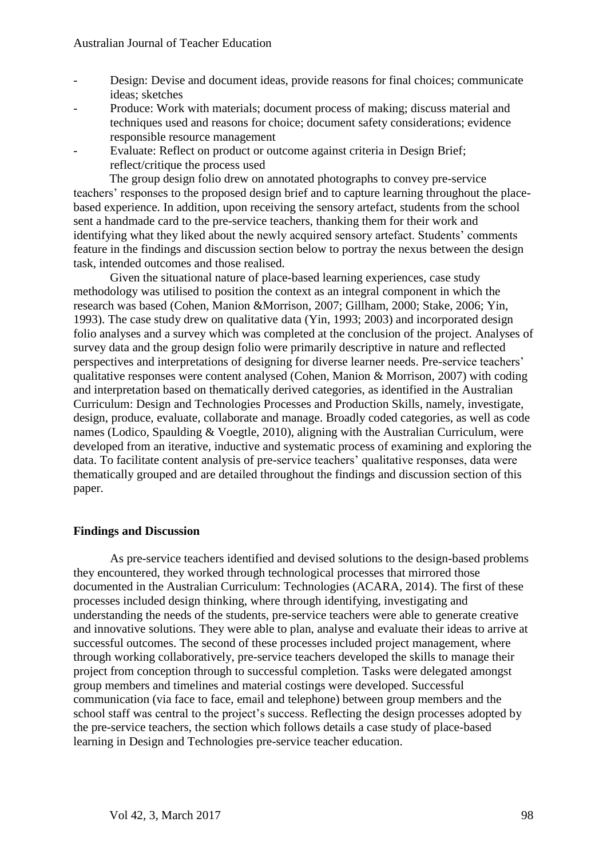- Design: Devise and document ideas, provide reasons for final choices; communicate ideas; sketches
- Produce: Work with materials; document process of making; discuss material and techniques used and reasons for choice; document safety considerations; evidence responsible resource management
- Evaluate: Reflect on product or outcome against criteria in Design Brief; reflect/critique the process used

The group design folio drew on annotated photographs to convey pre-service teachers' responses to the proposed design brief and to capture learning throughout the placebased experience. In addition, upon receiving the sensory artefact, students from the school sent a handmade card to the pre-service teachers, thanking them for their work and identifying what they liked about the newly acquired sensory artefact. Students' comments feature in the findings and discussion section below to portray the nexus between the design task, intended outcomes and those realised.

Given the situational nature of place-based learning experiences, case study methodology was utilised to position the context as an integral component in which the research was based (Cohen, Manion &Morrison, 2007; Gillham, 2000; Stake, 2006; Yin, 1993). The case study drew on qualitative data (Yin, 1993; 2003) and incorporated design folio analyses and a survey which was completed at the conclusion of the project. Analyses of survey data and the group design folio were primarily descriptive in nature and reflected perspectives and interpretations of designing for diverse learner needs. Pre-service teachers' qualitative responses were content analysed (Cohen, Manion & Morrison, 2007) with coding and interpretation based on thematically derived categories, as identified in the Australian Curriculum: Design and Technologies Processes and Production Skills, namely, investigate, design, produce, evaluate, collaborate and manage. Broadly coded categories, as well as code names (Lodico, Spaulding & Voegtle, 2010), aligning with the Australian Curriculum, were developed from an iterative, inductive and systematic process of examining and exploring the data. To facilitate content analysis of pre-service teachers' qualitative responses, data were thematically grouped and are detailed throughout the findings and discussion section of this paper.

# **Findings and Discussion**

As pre-service teachers identified and devised solutions to the design-based problems they encountered, they worked through technological processes that mirrored those documented in the Australian Curriculum: Technologies (ACARA, 2014). The first of these processes included design thinking, where through identifying, investigating and understanding the needs of the students, pre-service teachers were able to generate creative and innovative solutions. They were able to plan, analyse and evaluate their ideas to arrive at successful outcomes. The second of these processes included project management, where through working collaboratively, pre-service teachers developed the skills to manage their project from conception through to successful completion. Tasks were delegated amongst group members and timelines and material costings were developed. Successful communication (via face to face, email and telephone) between group members and the school staff was central to the project's success. Reflecting the design processes adopted by the pre-service teachers, the section which follows details a case study of place-based learning in Design and Technologies pre-service teacher education.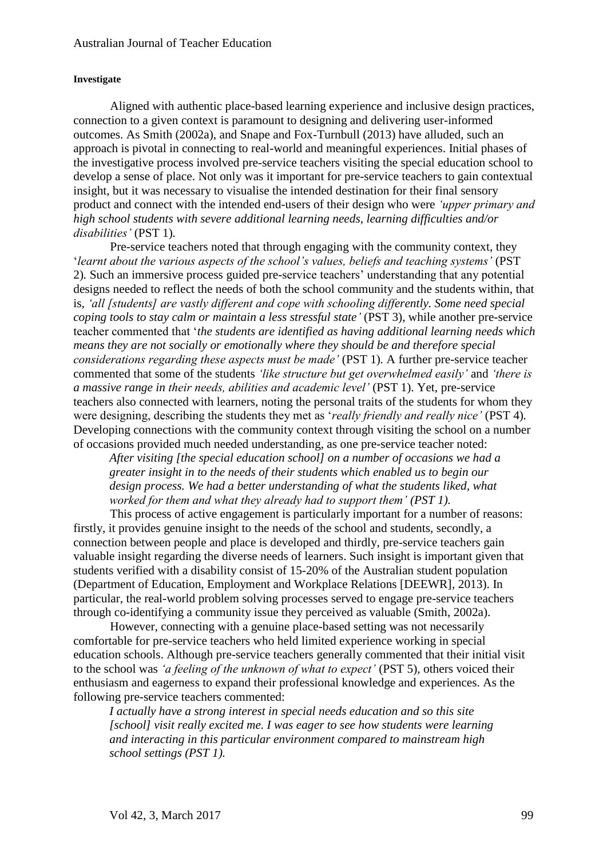#### **Investigate**

Aligned with authentic place-based learning experience and inclusive design practices, connection to a given context is paramount to designing and delivering user-informed outcomes. As Smith (2002a), and Snape and Fox-Turnbull (2013) have alluded, such an approach is pivotal in connecting to real-world and meaningful experiences. Initial phases of the investigative process involved pre-service teachers visiting the special education school to develop a sense of place. Not only was it important for pre-service teachers to gain contextual insight, but it was necessary to visualise the intended destination for their final sensory product and connect with the intended end-users of their design who were *'upper primary and high school students with severe additional learning needs, learning difficulties and/or disabilities'* (PST 1)*.* 

Pre-service teachers noted that through engaging with the community context, they '*learnt about the various aspects of the school's values, beliefs and teaching systems'* (PST 2)*.* Such an immersive process guided pre-service teachers' understanding that any potential designs needed to reflect the needs of both the school community and the students within, that is, *'all [students] are vastly different and cope with schooling differently. Some need special coping tools to stay calm or maintain a less stressful state'* (PST 3), while another pre-service teacher commented that '*the students are identified as having additional learning needs which means they are not socially or emotionally where they should be and therefore special considerations regarding these aspects must be made'* (PST 1)*.* A further pre-service teacher commented that some of the students *'like structure but get overwhelmed easily'* and *'there is a massive range in their needs, abilities and academic level'* (PST 1). Yet, pre-service teachers also connected with learners, noting the personal traits of the students for whom they were designing, describing the students they met as '*really friendly and really nice'* (PST 4)*.*  Developing connections with the community context through visiting the school on a number of occasions provided much needed understanding, as one pre-service teacher noted:

*After visiting [the special education school] on a number of occasions we had a greater insight in to the needs of their students which enabled us to begin our design process. We had a better understanding of what the students liked, what worked for them and what they already had to support them' (PST 1).* 

This process of active engagement is particularly important for a number of reasons: firstly, it provides genuine insight to the needs of the school and students, secondly, a connection between people and place is developed and thirdly, pre-service teachers gain valuable insight regarding the diverse needs of learners. Such insight is important given that students verified with a disability consist of 15-20% of the Australian student population (Department of Education, Employment and Workplace Relations [DEEWR], 2013). In particular, the real-world problem solving processes served to engage pre-service teachers through co-identifying a community issue they perceived as valuable (Smith, 2002a).

However, connecting with a genuine place-based setting was not necessarily comfortable for pre-service teachers who held limited experience working in special education schools. Although pre-service teachers generally commented that their initial visit to the school was *'a feeling of the unknown of what to expect'* (PST 5)*,* others voiced their enthusiasm and eagerness to expand their professional knowledge and experiences. As the following pre-service teachers commented:

*I actually have a strong interest in special needs education and so this site [school] visit really excited me. I was eager to see how students were learning and interacting in this particular environment compared to mainstream high school settings (PST 1).*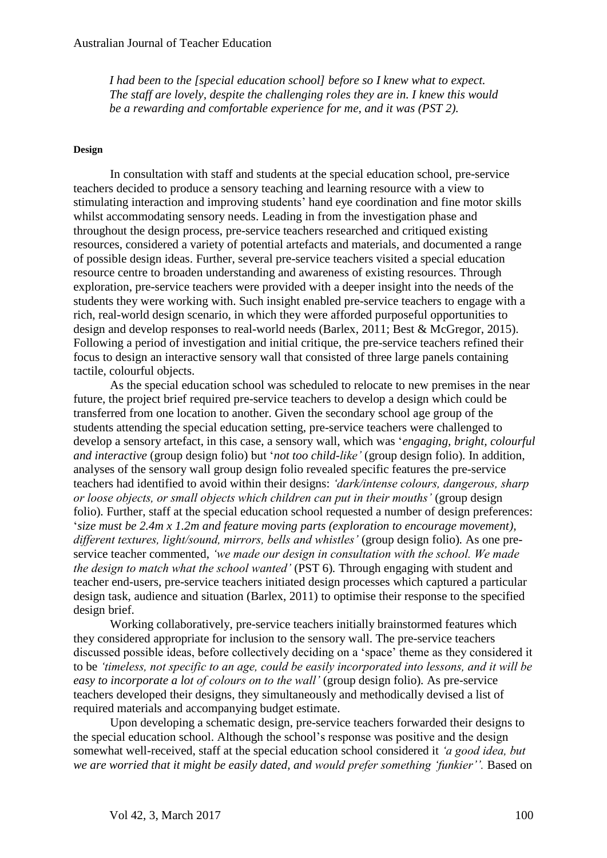*I had been to the [special education school] before so I knew what to expect. The staff are lovely, despite the challenging roles they are in. I knew this would be a rewarding and comfortable experience for me, and it was (PST 2).*

#### **Design**

In consultation with staff and students at the special education school, pre-service teachers decided to produce a sensory teaching and learning resource with a view to stimulating interaction and improving students' hand eye coordination and fine motor skills whilst accommodating sensory needs. Leading in from the investigation phase and throughout the design process, pre-service teachers researched and critiqued existing resources, considered a variety of potential artefacts and materials, and documented a range of possible design ideas. Further, several pre-service teachers visited a special education resource centre to broaden understanding and awareness of existing resources. Through exploration, pre-service teachers were provided with a deeper insight into the needs of the students they were working with. Such insight enabled pre-service teachers to engage with a rich, real-world design scenario, in which they were afforded purposeful opportunities to design and develop responses to real-world needs (Barlex, 2011; Best & McGregor, 2015). Following a period of investigation and initial critique, the pre-service teachers refined their focus to design an interactive sensory wall that consisted of three large panels containing tactile, colourful objects.

As the special education school was scheduled to relocate to new premises in the near future, the project brief required pre-service teachers to develop a design which could be transferred from one location to another. Given the secondary school age group of the students attending the special education setting, pre-service teachers were challenged to develop a sensory artefact, in this case, a sensory wall, which was '*engaging, bright, colourful and interactive* (group design folio) but '*not too child-like'* (group design folio)*.* In addition, analyses of the sensory wall group design folio revealed specific features the pre-service teachers had identified to avoid within their designs: *'dark/intense colours, dangerous, sharp or loose objects, or small objects which children can put in their mouths'* (group design folio). Further, staff at the special education school requested a number of design preferences: '*size must be 2.4m x 1.2m and feature moving parts (exploration to encourage movement), different textures, light/sound, mirrors, bells and whistles'* (group design folio)*.* As one preservice teacher commented, *'we made our design in consultation with the school. We made the design to match what the school wanted'* (PST 6)*.* Through engaging with student and teacher end-users, pre-service teachers initiated design processes which captured a particular design task, audience and situation (Barlex, 2011) to optimise their response to the specified design brief.

Working collaboratively, pre-service teachers initially brainstormed features which they considered appropriate for inclusion to the sensory wall. The pre-service teachers discussed possible ideas, before collectively deciding on a 'space' theme as they considered it to be *'timeless, not specific to an age, could be easily incorporated into lessons, and it will be easy to incorporate a lot of colours on to the wall'* (group design folio)*.* As pre-service teachers developed their designs, they simultaneously and methodically devised a list of required materials and accompanying budget estimate.

Upon developing a schematic design, pre-service teachers forwarded their designs to the special education school. Although the school's response was positive and the design somewhat well-received, staff at the special education school considered it *'a good idea, but we are worried that it might be easily dated, and would prefer something 'funkier''.* Based on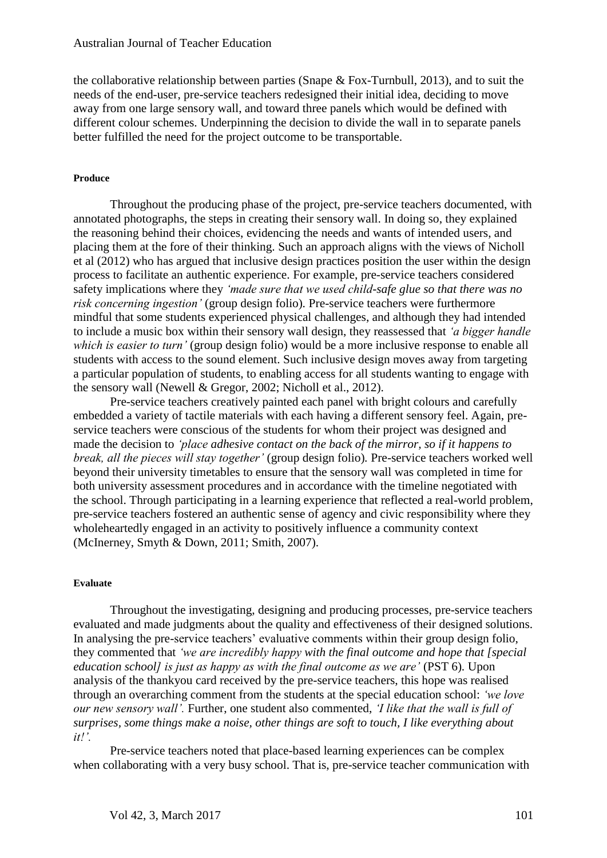the collaborative relationship between parties (Snape & Fox-Turnbull, 2013), and to suit the needs of the end-user, pre-service teachers redesigned their initial idea, deciding to move away from one large sensory wall, and toward three panels which would be defined with different colour schemes. Underpinning the decision to divide the wall in to separate panels better fulfilled the need for the project outcome to be transportable.

#### **Produce**

Throughout the producing phase of the project, pre-service teachers documented, with annotated photographs, the steps in creating their sensory wall. In doing so, they explained the reasoning behind their choices, evidencing the needs and wants of intended users, and placing them at the fore of their thinking. Such an approach aligns with the views of Nicholl et al (2012) who has argued that inclusive design practices position the user within the design process to facilitate an authentic experience. For example, pre-service teachers considered safety implications where they *'made sure that we used child-safe glue so that there was no risk concerning ingestion'* (group design folio)*.* Pre-service teachers were furthermore mindful that some students experienced physical challenges, and although they had intended to include a music box within their sensory wall design, they reassessed that *'a bigger handle which is easier to turn'* (group design folio) would be a more inclusive response to enable all students with access to the sound element. Such inclusive design moves away from targeting a particular population of students, to enabling access for all students wanting to engage with the sensory wall (Newell & Gregor, 2002; Nicholl et al., 2012).

Pre-service teachers creatively painted each panel with bright colours and carefully embedded a variety of tactile materials with each having a different sensory feel. Again, preservice teachers were conscious of the students for whom their project was designed and made the decision to *'place adhesive contact on the back of the mirror, so if it happens to break, all the pieces will stay together'* (group design folio)*.* Pre-service teachers worked well beyond their university timetables to ensure that the sensory wall was completed in time for both university assessment procedures and in accordance with the timeline negotiated with the school. Through participating in a learning experience that reflected a real-world problem, pre-service teachers fostered an authentic sense of agency and civic responsibility where they wholeheartedly engaged in an activity to positively influence a community context (McInerney, Smyth & Down, 2011; Smith, 2007).

#### **Evaluate**

Throughout the investigating, designing and producing processes, pre-service teachers evaluated and made judgments about the quality and effectiveness of their designed solutions. In analysing the pre-service teachers' evaluative comments within their group design folio, they commented that *'we are incredibly happy with the final outcome and hope that [special education school] is just as happy as with the final outcome as we are'* (PST 6)*.* Upon analysis of the thankyou card received by the pre-service teachers, this hope was realised through an overarching comment from the students at the special education school: *'we love our new sensory wall'.* Further, one student also commented, *'I like that the wall is full of surprises, some things make a noise, other things are soft to touch, I like everything about it!'.*

Pre-service teachers noted that place-based learning experiences can be complex when collaborating with a very busy school. That is, pre-service teacher communication with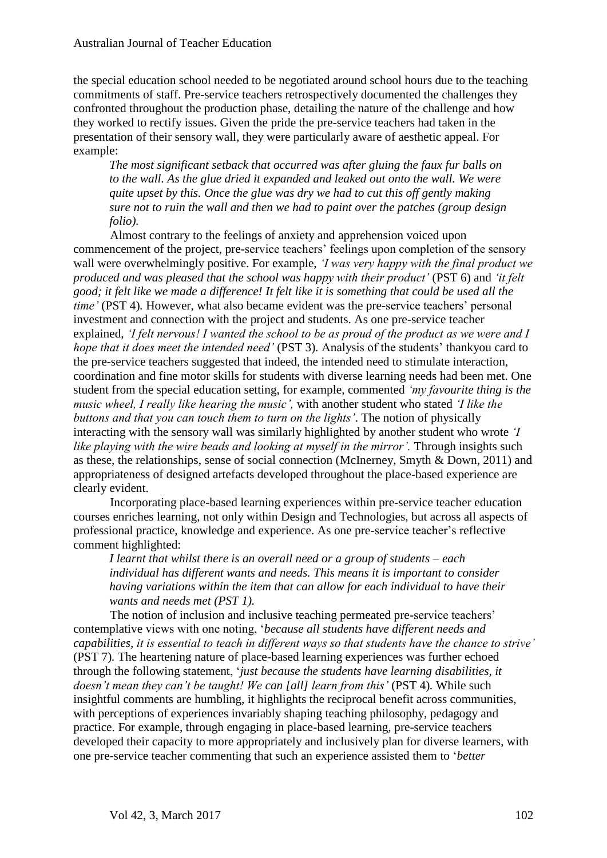the special education school needed to be negotiated around school hours due to the teaching commitments of staff. Pre-service teachers retrospectively documented the challenges they confronted throughout the production phase, detailing the nature of the challenge and how they worked to rectify issues. Given the pride the pre-service teachers had taken in the presentation of their sensory wall, they were particularly aware of aesthetic appeal. For example:

*The most significant setback that occurred was after gluing the faux fur balls on to the wall. As the glue dried it expanded and leaked out onto the wall. We were quite upset by this. Once the glue was dry we had to cut this off gently making sure not to ruin the wall and then we had to paint over the patches (group design folio).*

Almost contrary to the feelings of anxiety and apprehension voiced upon commencement of the project, pre-service teachers' feelings upon completion of the sensory wall were overwhelmingly positive. For example, *'I was very happy with the final product we produced and was pleased that the school was happy with their product'* (PST 6) and *'it felt good; it felt like we made a difference! It felt like it is something that could be used all the time'* (PST 4)*.* However, what also became evident was the pre-service teachers' personal investment and connection with the project and students. As one pre-service teacher explained, *'I felt nervous! I wanted the school to be as proud of the product as we were and I hope that it does meet the intended need'* (PST 3)*.* Analysis of the students' thankyou card to the pre-service teachers suggested that indeed, the intended need to stimulate interaction, coordination and fine motor skills for students with diverse learning needs had been met. One student from the special education setting, for example, commented *'my favourite thing is the music wheel, I really like hearing the music',* with another student who stated *'I like the buttons and that you can touch them to turn on the lights'*. The notion of physically interacting with the sensory wall was similarly highlighted by another student who wrote *'I like playing with the wire beads and looking at myself in the mirror'.* Through insights such as these, the relationships, sense of social connection (McInerney, Smyth & Down, 2011) and appropriateness of designed artefacts developed throughout the place-based experience are clearly evident.

Incorporating place-based learning experiences within pre-service teacher education courses enriches learning, not only within Design and Technologies, but across all aspects of professional practice, knowledge and experience. As one pre-service teacher's reflective comment highlighted:

*I learnt that whilst there is an overall need or a group of students – each individual has different wants and needs. This means it is important to consider having variations within the item that can allow for each individual to have their wants and needs met (PST 1).* 

The notion of inclusion and inclusive teaching permeated pre-service teachers' contemplative views with one noting, '*because all students have different needs and capabilities, it is essential to teach in different ways so that students have the chance to strive'* (PST 7)*.* The heartening nature of place-based learning experiences was further echoed through the following statement, '*just because the students have learning disabilities, it doesn't mean they can't be taught! We can [all] learn from this'* (PST 4)*.* While such insightful comments are humbling, it highlights the reciprocal benefit across communities, with perceptions of experiences invariably shaping teaching philosophy, pedagogy and practice. For example, through engaging in place-based learning, pre-service teachers developed their capacity to more appropriately and inclusively plan for diverse learners, with one pre-service teacher commenting that such an experience assisted them to '*better*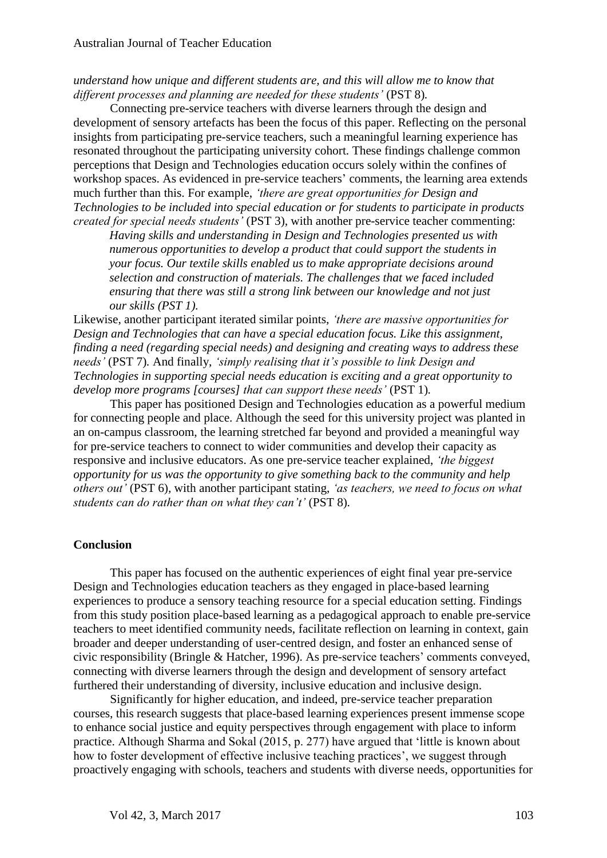*understand how unique and different students are, and this will allow me to know that different processes and planning are needed for these students'* (PST 8)*.*

Connecting pre-service teachers with diverse learners through the design and development of sensory artefacts has been the focus of this paper. Reflecting on the personal insights from participating pre-service teachers, such a meaningful learning experience has resonated throughout the participating university cohort. These findings challenge common perceptions that Design and Technologies education occurs solely within the confines of workshop spaces. As evidenced in pre-service teachers' comments, the learning area extends much further than this. For example, *'there are great opportunities for Design and Technologies to be included into special education or for students to participate in products created for special needs students'* (PST 3)*,* with another pre-service teacher commenting:

*Having skills and understanding in Design and Technologies presented us with numerous opportunities to develop a product that could support the students in your focus. Our textile skills enabled us to make appropriate decisions around selection and construction of materials. The challenges that we faced included ensuring that there was still a strong link between our knowledge and not just our skills (PST 1).* 

Likewise, another participant iterated similar points, *'there are massive opportunities for Design and Technologies that can have a special education focus. Like this assignment, finding a need (regarding special needs) and designing and creating ways to address these needs'* (PST 7)*.* And finally, *'simply realising that it's possible to link Design and Technologies in supporting special needs education is exciting and a great opportunity to develop more programs [courses] that can support these needs'* (PST 1)*.*

This paper has positioned Design and Technologies education as a powerful medium for connecting people and place. Although the seed for this university project was planted in an on-campus classroom, the learning stretched far beyond and provided a meaningful way for pre-service teachers to connect to wider communities and develop their capacity as responsive and inclusive educators. As one pre-service teacher explained, *'the biggest opportunity for us was the opportunity to give something back to the community and help others out'* (PST 6)*,* with another participant stating, *'as teachers, we need to focus on what students can do rather than on what they can't'* (PST 8)*.*

### **Conclusion**

This paper has focused on the authentic experiences of eight final year pre-service Design and Technologies education teachers as they engaged in place-based learning experiences to produce a sensory teaching resource for a special education setting. Findings from this study position place-based learning as a pedagogical approach to enable pre-service teachers to meet identified community needs, facilitate reflection on learning in context, gain broader and deeper understanding of user-centred design, and foster an enhanced sense of civic responsibility (Bringle & Hatcher, 1996). As pre-service teachers' comments conveyed, connecting with diverse learners through the design and development of sensory artefact furthered their understanding of diversity, inclusive education and inclusive design.

Significantly for higher education, and indeed, pre-service teacher preparation courses, this research suggests that place-based learning experiences present immense scope to enhance social justice and equity perspectives through engagement with place to inform practice. Although Sharma and Sokal (2015, p. 277) have argued that 'little is known about how to foster development of effective inclusive teaching practices', we suggest through proactively engaging with schools, teachers and students with diverse needs, opportunities for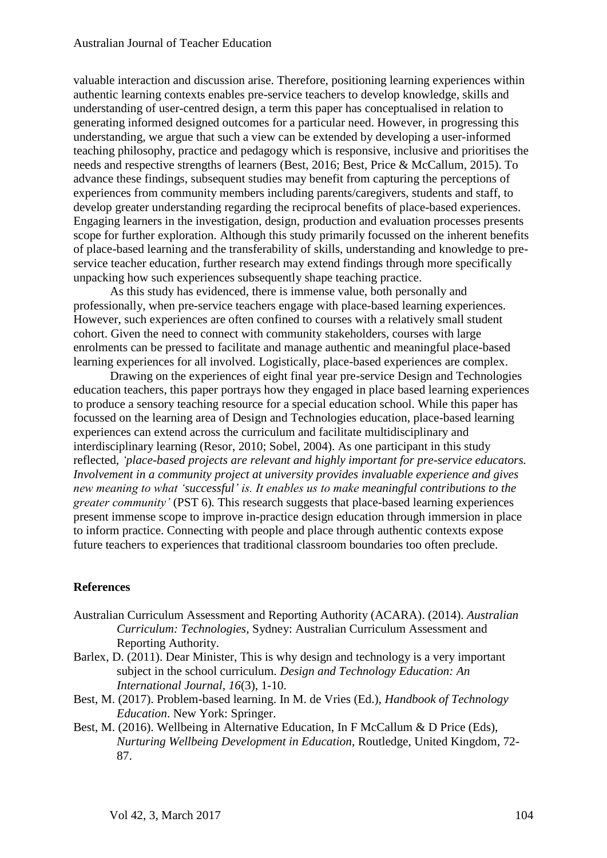valuable interaction and discussion arise. Therefore, positioning learning experiences within authentic learning contexts enables pre-service teachers to develop knowledge, skills and understanding of user-centred design, a term this paper has conceptualised in relation to generating informed designed outcomes for a particular need. However, in progressing this understanding, we argue that such a view can be extended by developing a user-informed teaching philosophy, practice and pedagogy which is responsive, inclusive and prioritises the needs and respective strengths of learners (Best, 2016; Best, Price & McCallum, 2015). To advance these findings, subsequent studies may benefit from capturing the perceptions of experiences from community members including parents/caregivers, students and staff, to develop greater understanding regarding the reciprocal benefits of place-based experiences. Engaging learners in the investigation, design, production and evaluation processes presents scope for further exploration. Although this study primarily focussed on the inherent benefits of place-based learning and the transferability of skills, understanding and knowledge to preservice teacher education, further research may extend findings through more specifically unpacking how such experiences subsequently shape teaching practice.

As this study has evidenced, there is immense value, both personally and professionally, when pre-service teachers engage with place-based learning experiences. However, such experiences are often confined to courses with a relatively small student cohort. Given the need to connect with community stakeholders, courses with large enrolments can be pressed to facilitate and manage authentic and meaningful place-based learning experiences for all involved. Logistically, place-based experiences are complex.

Drawing on the experiences of eight final year pre-service Design and Technologies education teachers, this paper portrays how they engaged in place based learning experiences to produce a sensory teaching resource for a special education school. While this paper has focussed on the learning area of Design and Technologies education, place-based learning experiences can extend across the curriculum and facilitate multidisciplinary and interdisciplinary learning (Resor, 2010; Sobel, 2004). As one participant in this study reflected, *'place-based projects are relevant and highly important for pre-service educators. Involvement in a community project at university provides invaluable experience and gives new meaning to what 'successful' is. It enables us to make meaningful contributions to the greater community'* (PST 6)*.* This research suggests that place-based learning experiences present immense scope to improve in-practice design education through immersion in place to inform practice. Connecting with people and place through authentic contexts expose future teachers to experiences that traditional classroom boundaries too often preclude.

### **References**

- Australian Curriculum Assessment and Reporting Authority (ACARA). (2014). *Australian Curriculum: Technologies,* Sydney: Australian Curriculum Assessment and Reporting Authority.
- Barlex, D. (2011). Dear Minister, This is why design and technology is a very important subject in the school curriculum. *Design and Technology Education: An International Journal, 16*(3), 1-10.
- Best, M. (2017). Problem-based learning. In M. de Vries (Ed.), *Handbook of Technology Education*. New York: Springer.
- Best, M. (2016). Wellbeing in Alternative Education, In F McCallum & D Price (Eds), *Nurturing Wellbeing Development in Education*, Routledge, United Kingdom, 72- 87.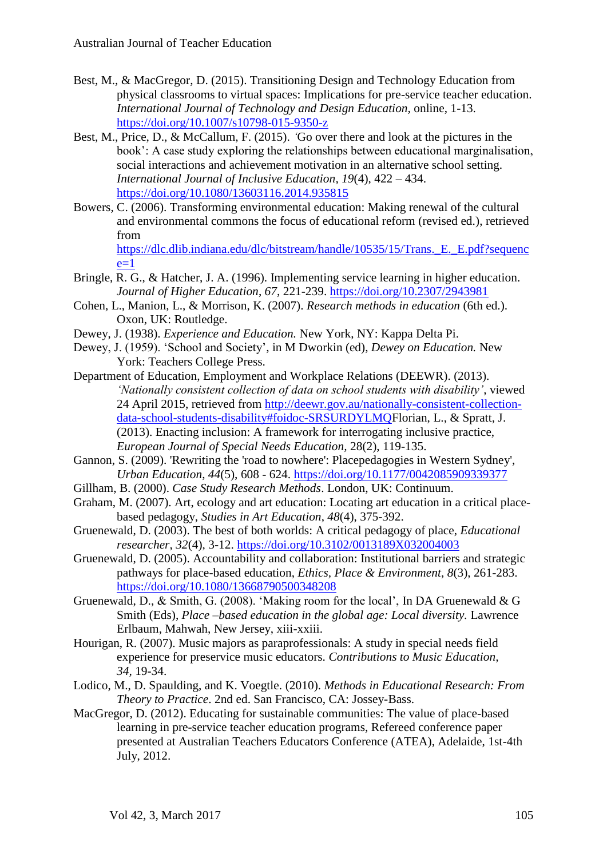- Best, M., & MacGregor, D. (2015). Transitioning Design and Technology Education from physical classrooms to virtual spaces: Implications for pre-service teacher education. *International Journal of Technology and Design Education,* online, 1-13. <https://doi.org/10.1007/s10798-015-9350-z>
- Best, M., Price, D., & McCallum, F. (2015). *'*Go over there and look at the pictures in the book': A case study exploring the relationships between educational marginalisation, social interactions and achievement motivation in an alternative school setting. *International Journal of Inclusive Education, 19*(4), 422 – 434. <https://doi.org/10.1080/13603116.2014.935815>
- Bowers, C. (2006). Transforming environmental education: Making renewal of the cultural and environmental commons the focus of educational reform (revised ed.), retrieved from [https://dlc.dlib.indiana.edu/dlc/bitstream/handle/10535/15/Trans.\\_E.\\_E.pdf?sequenc](https://dlc.dlib.indiana.edu/dlc/bitstream/handle/10535/15/Trans._E._E.pdf?sequence=1)

 $e=1$ 

- Bringle, R. G., & Hatcher, J. A. (1996). Implementing service learning in higher education. *Journal of Higher Education*, *67*, 221-239. <https://doi.org/10.2307/2943981>
- Cohen, L., Manion, L., & Morrison, K. (2007). *Research methods in education* (6th ed.). Oxon, UK: Routledge.
- Dewey, J. (1938). *Experience and Education.* New York, NY: Kappa Delta Pi.
- Dewey, J. (1959). 'School and Society', in M Dworkin (ed), *Dewey on Education.* New York: Teachers College Press.
- Department of Education, Employment and Workplace Relations (DEEWR). (2013). *'Nationally consistent collection of data on school students with disability'*, viewed 24 April 2015, retrieved from [http://deewr.gov.au/nationally-consistent-collection](http://deewr.gov.au/nationally-consistent-collection-data-school-students-disability#foidoc-SRSURDYLMQ)[data-school-students-disability#foidoc-SRSURDYLMQF](http://deewr.gov.au/nationally-consistent-collection-data-school-students-disability#foidoc-SRSURDYLMQ)lorian, L., & Spratt, J. (2013). Enacting inclusion: A framework for interrogating inclusive practice, *European Journal of Special Needs Education,* 28(2), 119-135.
- Gannon, S. (2009). 'Rewriting the 'road to nowhere': Placepedagogies in Western Sydney', *Urban Education*, *44*(5), 608 - 624. <https://doi.org/10.1177/0042085909339377>
- Gillham, B. (2000). *Case Study Research Methods*. London, UK: Continuum.
- Graham, M. (2007). Art, ecology and art education: Locating art education in a critical placebased pedagogy, *Studies in Art Education*, *48*(4), 375-392.
- Gruenewald, D. (2003). The best of both worlds: A critical pedagogy of place, *Educational researcher*, *32*(4), 3-12. <https://doi.org/10.3102/0013189X032004003>
- Gruenewald, D. (2005). Accountability and collaboration: Institutional barriers and strategic pathways for place-based education, *Ethics, Place & Environment*, *8*(3), 261-283. <https://doi.org/10.1080/13668790500348208>
- Gruenewald, D., & Smith, G. (2008). 'Making room for the local', In DA Gruenewald & G Smith (Eds), *Place –based education in the global age: Local diversity.* Lawrence Erlbaum, Mahwah, New Jersey, xiii-xxiii.
- Hourigan, R. (2007). Music majors as paraprofessionals: A study in special needs field experience for preservice music educators. *Contributions to Music Education, 34,* 19-34.
- Lodico, M., D. Spaulding, and K. Voegtle. (2010). *Methods in Educational Research: From Theory to Practice*. 2nd ed. San Francisco, CA: Jossey-Bass.
- MacGregor, D. (2012). Educating for sustainable communities: The value of place-based learning in pre-service teacher education programs, Refereed conference paper presented at Australian Teachers Educators Conference (ATEA), Adelaide, 1st-4th July, 2012.